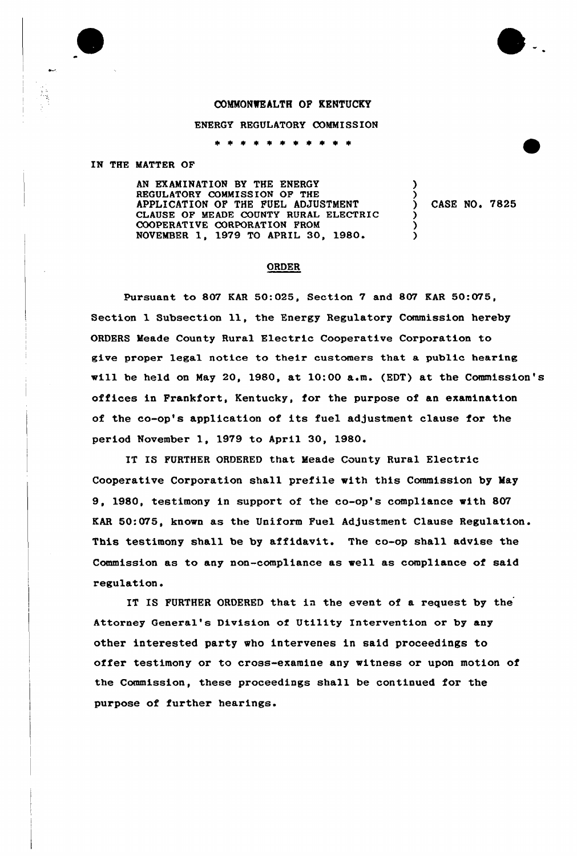## COMMONWEALTH OF KENTUCKY

## ENERGY REGULATORY COMMISSION

\* \* \* \* \* \* \* \* \*

IN THE MATTER OF

AN EXAMINATION BY THE ENERGY REGULATORY COMMISS ION OF THE APPLICATION OF THE FUEL ADJUSTMENT CLAUSE OF MEADE COUNTY RURAL ELECTRIC COOPERATIVE CORPORATION FROM NOVEMBER 1, 1979 TO APRIL 30, 1980.

) CASE NO. 7825

) )

) ) )

## ORDER

Pursuant to 807 KAR 50:025, Section 7 and 807 KAR 50:075, Section 1 Subsection ll, the Energy Regulatory Commission hereby ORDERS Meade County Rural Electric Cooperative Corporation to give proper legal notice to their customers that a public hearing will be held on May 20, 1980, at 10:00 a.m. (EDT) at the Commission's offices in Frankfort, Kentucky, fox the purpose of an examination of the co-op's application of its fuel adjustment clause for the pez'iod November 1, 1979 to April 30, 1980.

IT IS FURTHER ORDERED that Meade County Rural Electric Cooperative Corporation shall prefile with this Commission by May 9, 1980, testimony in support of the co-op's compliance with 807 KAR 50:075, known as the Uniform Fuel Adjustment Clause Regulation. This testimony shall be by affidavit. The co-op shall advise the Commission as to any non-compliance as well as compliance of said regulation.

IT IS FURTHER ORDERED that in the event of a request by the Attorney General's Division of Utility Intervention or by any other interested party who intervenes in said proceedings to offer testimony or to cross-examine any witness or upon motion of the Commission, these proceedings shall be continued for the purpose of further hearings.